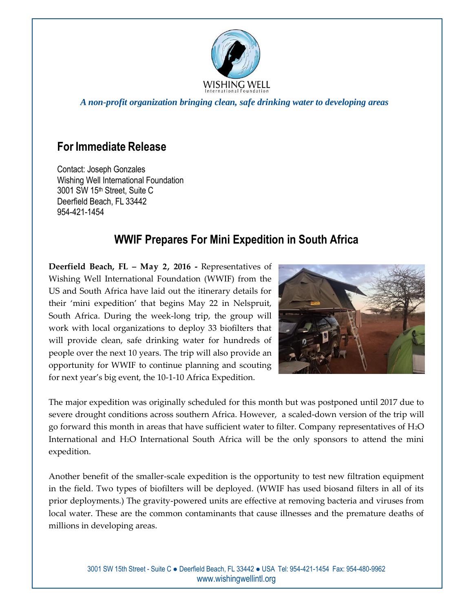

*A non-profit organization bringing clean, safe drinking water to developing areas*

## **For Immediate Release**

Contact: Joseph Gonzales Wishing Well International Foundation 3001 SW 15th Street, Suite C Deerfield Beach, FL 33442 954-421-1454

## **WWIF Prepares For Mini Expedition in South Africa**

**Deerfield Beach, FL – May 2, 2016 -** Representatives of Wishing Well International Foundation (WWIF) from the US and South Africa have laid out the itinerary details for their 'mini expedition' that begins May 22 in Nelspruit, South Africa. During the week-long trip, the group will work with local organizations to deploy 33 biofilters that will provide clean, safe drinking water for hundreds of people over the next 10 years. The trip will also provide an opportunity for WWIF to continue planning and scouting for next year's big event, the 10-1-10 Africa Expedition.



The major expedition was originally scheduled for this month but was postponed until 2017 due to severe drought conditions across southern Africa. However, a scaled-down version of the trip will go forward this month in areas that have sufficient water to filter. Company representatives of  $H_2O$ International and H2O International South Africa will be the only sponsors to attend the mini expedition.

Another benefit of the smaller-scale expedition is the opportunity to test new filtration equipment in the field. Two types of biofilters will be deployed. (WWIF has used biosand filters in all of its prior deployments.) The gravity-powered units are effective at removing bacteria and viruses from local water. These are the common contaminants that cause illnesses and the premature deaths of millions in developing areas.